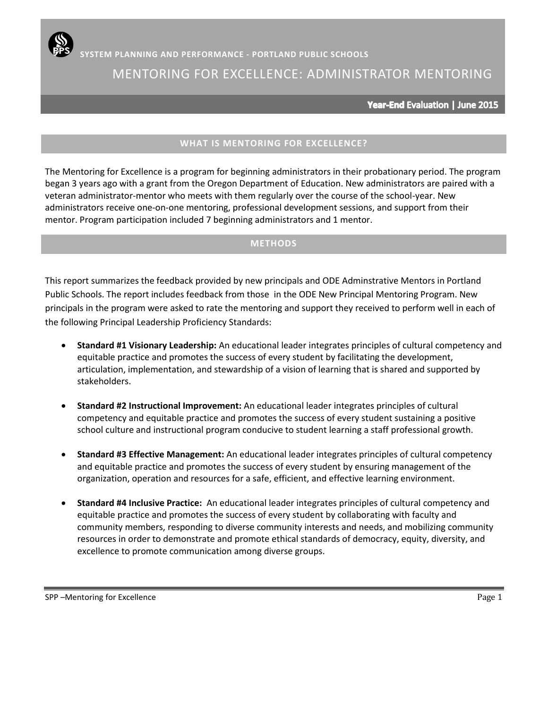# MENTORING FOR EXCELLENCE: ADMINISTRATOR MENTORING

Year-End Evaluation | June 2015

### **WHAT IS MENTORING FOR EXCELLENCE?**

The Mentoring for Excellence is a program for beginning administrators in their probationary period. The program began 3 years ago with a grant from the Oregon Department of Education. New administrators are paired with a veteran administrator-mentor who meets with them regularly over the course of the school-year. New administrators receive one-on-one mentoring, professional development sessions, and support from their mentor. Program participation included 7 beginning administrators and 1 mentor.

### **METHODS**

This report summarizes the feedback provided by new principals and ODE Adminstrative Mentors in Portland Public Schools. The report includes feedback from those in the ODE New Principal Mentoring Program. New principals in the program were asked to rate the mentoring and support they received to perform well in each of the following Principal Leadership Proficiency Standards:

- **Standard #1 Visionary Leadership:** An educational leader integrates principles of cultural competency and equitable practice and promotes the success of every student by facilitating the development, articulation, implementation, and stewardship of a vision of learning that is shared and supported by stakeholders.
- **Standard #2 Instructional Improvement:** An educational leader integrates principles of cultural competency and equitable practice and promotes the success of every student sustaining a positive school culture and instructional program conducive to student learning a staff professional growth.
- **Standard #3 Effective Management:** An educational leader integrates principles of cultural competency and equitable practice and promotes the success of every student by ensuring management of the organization, operation and resources for a safe, efficient, and effective learning environment.
- **Standard #4 Inclusive Practice:** An educational leader integrates principles of cultural competency and equitable practice and promotes the success of every student by collaborating with faculty and community members, responding to diverse community interests and needs, and mobilizing community resources in order to demonstrate and promote ethical standards of democracy, equity, diversity, and excellence to promote communication among diverse groups.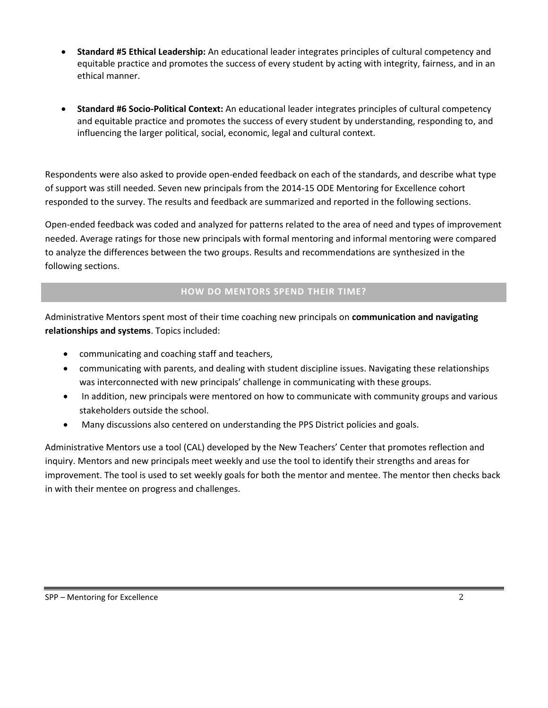- **Standard #5 Ethical Leadership:** An educational leader integrates principles of cultural competency and equitable practice and promotes the success of every student by acting with integrity, fairness, and in an ethical manner.
- **Standard #6 Socio-Political Context:** An educational leader integrates principles of cultural competency and equitable practice and promotes the success of every student by understanding, responding to, and influencing the larger political, social, economic, legal and cultural context.

Respondents were also asked to provide open-ended feedback on each of the standards, and describe what type of support was still needed. Seven new principals from the 2014-15 ODE Mentoring for Excellence cohort responded to the survey. The results and feedback are summarized and reported in the following sections.

Open-ended feedback was coded and analyzed for patterns related to the area of need and types of improvement needed. Average ratings for those new principals with formal mentoring and informal mentoring were compared to analyze the differences between the two groups. Results and recommendations are synthesized in the following sections.

### **HOW DO MENTORS SPEND THEIR TIME?**

Administrative Mentors spent most of their time coaching new principals on **communication and navigating relationships and systems**. Topics included:

- communicating and coaching staff and teachers,
- communicating with parents, and dealing with student discipline issues. Navigating these relationships was interconnected with new principals' challenge in communicating with these groups.
- In addition, new principals were mentored on how to communicate with community groups and various stakeholders outside the school.
- Many discussions also centered on understanding the PPS District policies and goals.

Administrative Mentors use a tool (CAL) developed by the New Teachers' Center that promotes reflection and inquiry. Mentors and new principals meet weekly and use the tool to identify their strengths and areas for improvement. The tool is used to set weekly goals for both the mentor and mentee. The mentor then checks back in with their mentee on progress and challenges.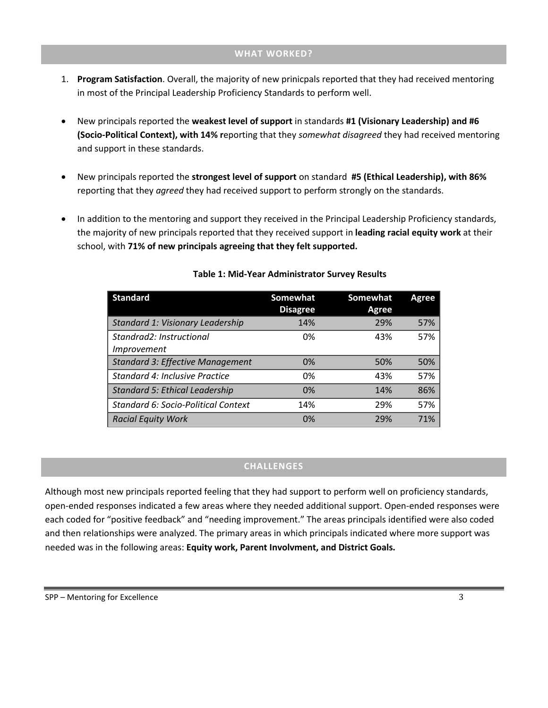#### **WHAT WORKED?**

- 1. **Program Satisfaction**. Overall, the majority of new prinicpals reported that they had received mentoring in most of the Principal Leadership Proficiency Standards to perform well.
- New principals reported the **weakest level of support** in standards **#1 (Visionary Leadership) and #6 (Socio-Political Context), with 14% r**eporting that they *somewhat disagreed* they had received mentoring and support in these standards.
- New principals reported the **strongest level of support** on standard **#5 (Ethical Leadership), with 86%**  reporting that they *agreed* they had received support to perform strongly on the standards.
- In addition to the mentoring and support they received in the Principal Leadership Proficiency standards, the majority of new principals reported that they received support in **leading racial equity work** at their school, with **71% of new principals agreeing that they felt supported.**

| <b>Standard</b>                                | <b>Somewhat</b><br><b>Disagree</b> | Somewhat<br>Agree | <b>Agree</b> |
|------------------------------------------------|------------------------------------|-------------------|--------------|
| Standard 1: Visionary Leadership               | 14%                                | 29%               | 57%          |
| Standrad2: Instructional<br><i>Improvement</i> | 0%                                 | 43%               | 57%          |
| <b>Standard 3: Effective Management</b>        | 0%                                 | 50%               | 50%          |
| Standard 4: Inclusive Practice                 | 0%                                 | 43%               | 57%          |
| <b>Standard 5: Ethical Leadership</b>          | 0%                                 | 14%               | 86%          |
| Standard 6: Socio-Political Context            | 14%                                | 29%               | 57%          |
| <b>Racial Equity Work</b>                      | 0%                                 | 29%               | 71%          |

### **Table 1: Mid-Year Administrator Survey Results**

### **CHALLENGES**

Although most new principals reported feeling that they had support to perform well on proficiency standards, open-ended responses indicated a few areas where they needed additional support. Open-ended responses were each coded for "positive feedback" and "needing improvement." The areas principals identified were also coded and then relationships were analyzed. The primary areas in which principals indicated where more support was needed was in the following areas: **Equity work, Parent Involvment, and District Goals.**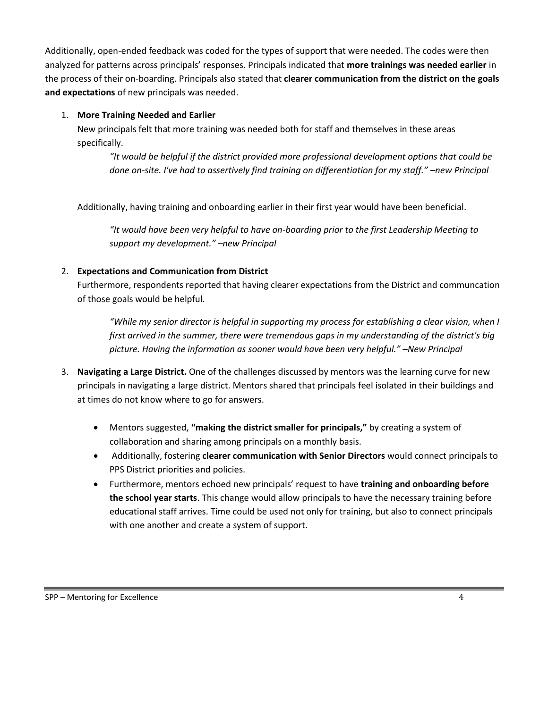Additionally, open-ended feedback was coded for the types of support that were needed. The codes were then analyzed for patterns across principals' responses. Principals indicated that **more trainings was needed earlier** in the process of their on-boarding. Principals also stated that **clearer communication from the district on the goals and expectations** of new principals was needed.

### 1. **More Training Needed and Earlier**

New principals felt that more training was needed both for staff and themselves in these areas specifically.

*"It would be helpful if the district provided more professional development options that could be done on-site. I've had to assertively find training on differentiation for my staff." –new Principal*

Additionally, having training and onboarding earlier in their first year would have been beneficial.

*"It would have been very helpful to have on-boarding prior to the first Leadership Meeting to support my development." –new Principal* 

## 2. **Expectations and Communication from District**

Furthermore, respondents reported that having clearer expectations from the District and communcation of those goals would be helpful.

*"While my senior director is helpful in supporting my process for establishing a clear vision, when I first arrived in the summer, there were tremendous gaps in my understanding of the district's big picture. Having the information as sooner would have been very helpful." –New Principal*

- 3. **Navigating a Large District.** One of the challenges discussed by mentors was the learning curve for new principals in navigating a large district. Mentors shared that principals feel isolated in their buildings and at times do not know where to go for answers.
	- Mentors suggested, **"making the district smaller for principals,"** by creating a system of collaboration and sharing among principals on a monthly basis.
	- Additionally, fostering **clearer communication with Senior Directors** would connect principals to PPS District priorities and policies.
	- Furthermore, mentors echoed new principals' request to have **training and onboarding before the school year starts**. This change would allow principals to have the necessary training before educational staff arrives. Time could be used not only for training, but also to connect principals with one another and create a system of support.